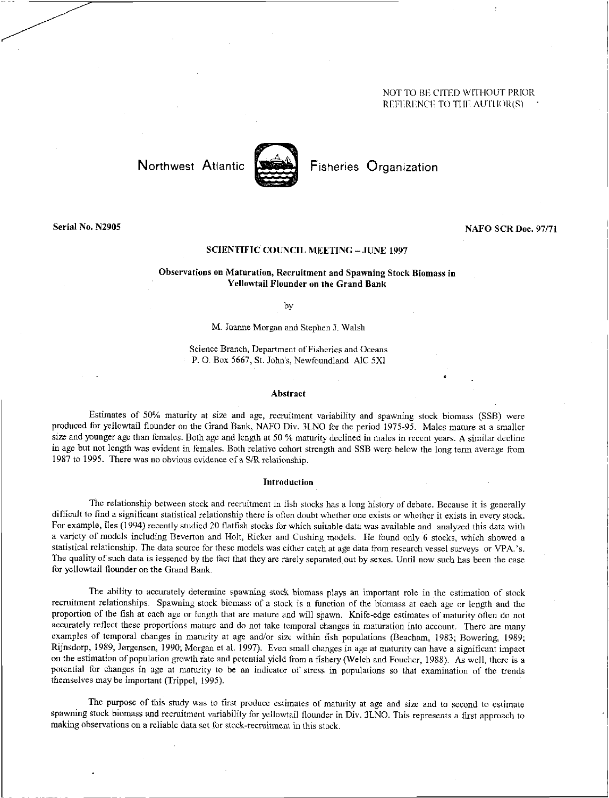# NOT TO BE CITED WITHOUT PRIOR REFERENCE TO TIIE AUTIIOR(S)



Northwest Atlantic <a>[</a> Fisheries Organization</a>

# **Serial No. N2905 NAFO SCR Doc. 97/71**

#### **SCIENTIFIC COUNCIL MEETING —JUNE 1997**

# **Observations on Maturation, Recruitment and Spawning Stock Biomass in Yellowtail Flounder on the Grand Bank**

by

#### M. Joanne Morgan and Stephen J. Walsh

Science Branch, Department of Fisheries and Oceans **P.** O. Box 5667, St. John's, Newfoundland AIC 5X1

#### **Abstract**

Estimates of 50% maturity at size and age, recruitment variability and spawning stock biomass (SSB) were produced for yellowtail flounder on the Grand Bank, NAFO Div. 3LNO for the period 1975-95. Males mature at a smaller size and younger age than females. Both age and length at 50 % maturity declined in males in recent years. A similar decline in age but not length was evident in females. Both relative cohort strength and SSB were below the long term average from 1987 to 1995. There was no obvious evidence of a SIR relationship.

#### **Introduction**

The relationship between stock and recruitment in fish stocks has a long history of debate. Because it is generally difficult to find a significant statistical relationship there is often doubt whether one exists or whether it exists in every stock. For example, Iles (1994) recently studied 20 flatfish stocks for which suitable data was available and analyzed this data with a variety of models including Beverton and Holt, Ricker and Cushing models. He found only 6 stocks, which showed a statistical relationship. The data source for these models was either catch at age data from research vessel surveys or VPA.'s. The quality of such data is lessened by the fact that they are rarely separated out by sexes. Until now such has been the case for yellowtail flounder on the Grand Bank.

The ability to accurately determine spawning stock biomass plays an important role in the estimation of stock recruitment relationships. Spawning stock biomass of a stock is a function of the biomass at each age or length and the proportion of the fish at each age or length that are mature and will spawn. Knife-edge estimates of maturity often do not accurately reflect these proportions mature and do not take temporal changes in maturation into account. There are many examples of temporal changes in maturity at age and/or size within fish populations (Beacham, 1983; Bowering, 1989; Rijnsdorp, 1989, Jorgensen, 1990; Morgan et al. 1997). Even small changes in age at maturity can have a significant impact on the estimation of population growth rate and potential yield from a fishery (Welch and Foucher, 1988). As well, there is a potential for changes in age at maturity to be an indicator of stress in populations so that examination of the trends themselves may be important (Trippel, 1995).

The purpose of this study was to first produce estimates of maturity at age and size and to second to estimate spawning stock biomass and recruitment variability for yellowtail flounder in Div. 3LNO. This represents a first approach to making observations on a reliable data set for stock-recruitment in this stock.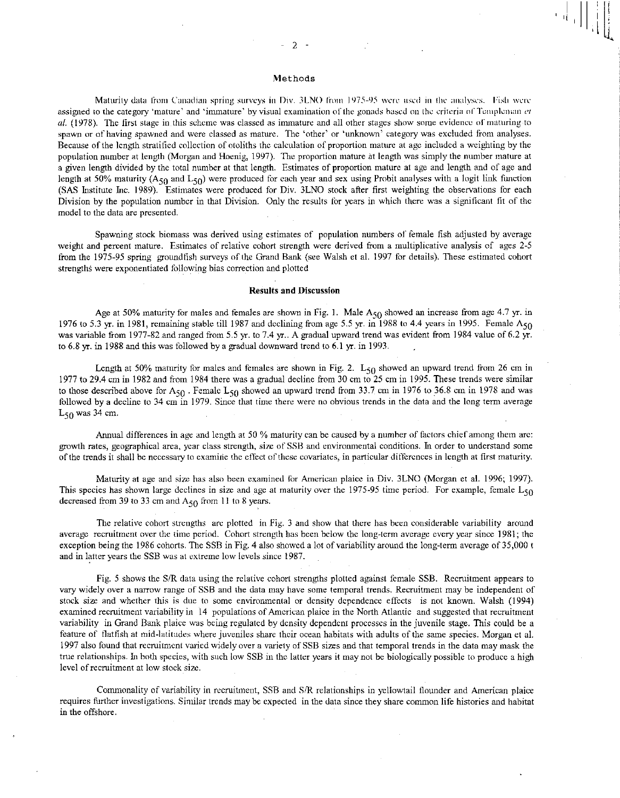$\left\{ \left. \right. \right\}$ 

# Methods

Maturity data from Canadian spring surveys in Div. 3LNO From 1975-95 were used in the analyses. Fish were assigned to the category 'mature' and 'immature' by visual examination of the gonads based on the criteria of Templeman *et at* (1978). The first stage in this scheme was classed as immature and all other stages show some evidence of maturing to spawn or of having spawned and were classed as mature. The 'other' or 'unknown' category was excluded from analyses. Because of the length stratified collection of otoliths the calculation of proportion mature at age included a weighting by the population number at length (Morgan and Hoenig, 1997). The proportion mature at length was simply the number mature at a given length divided by the total number at that length. Estimates of proportion mature at age and length and of age and length at 50% maturity (A<sub>50</sub> and L<sub>50</sub>) were produced for each year and sex using Probit analyses with a logit link function (SAS Institute Inc. 1989). Estimates were produced for Div. 3LNO stock after first weighting the observations for each Division by the population number in that Division. Only the results for years in which there was a significant fit of the model to the data are presented.

Spawning stock biomass was derived using estimates of population numbers of female fish adjusted by average weight and percent mature. Estimates of relative cohort strength were derived from a multiplicative analysis of ages 2-5 from the 1975-95 spring groundfish surveys of the Grand Bank (see Walsh et al. 1997 for details). These estimated cohort strengths were exponentiated following bias correction and plotted

#### Results and Discussion

Age at 50% maturity for males and females are shown in Fig. 1. Male  $A_{50}$  showed an increase from age 4.7 yr. in 1976 to 5.3 yr. in 1981, remaining stable till 1987 and declining from age 5.5 yr. in 1988 to 4.4 years in 1995. Female  $A_{50}$ was variable from 1977-82 and ranged from 5.5 yr. to 7.4 yr.. A gradual upward trend was evident from 1984 value of 6.2 yr. to 6.8 yr. in 1988 and this was followed by a gradual downward trend to 6.1 yr. in 1993.

Length at 50% maturity for males and females are shown in Fig. 2.  $L_{50}$  showed an upward trend from 26 cm in 1977 to 29.4 cm in 1982 and from 1984 there was a gradual decline from 30 cm to 25 cm in 1995. These trends were similar to those described above for  $A_{50}$ . Female  $L_{50}$  showed an upward trend from 33.7 cm in 1976 to 36.8 cm in 1978 and was followed by a decline to 34 cm in 1979. Since that time there were no obvious trends in the data and the long term average  $L_{50}$  was 34 cm.

Annual differences in age and length at 50 % maturity can be caused by a number of factors chief among them arc: growth rates, geographical area, year class strength, size of SSB and environmental conditions. In order to understand some of the trends it shall be necessary to examine the effect of these covariates, in particular differences in length at first maturity.

Maturity at age and size has also been examined for American plaice in Div. 3LNO (Morgan et al. 1996; 1997). This species has shown large declines in size and age at maturity over the 1975-95 time period. For example, female  $L_{50}$ decreased from 39 to 33 cm and  $A_{50}$  from 11 to 8 years.

The relative cohort strengths arc plotted in Fig. 3 and show that there has been considerable variability around average recruitment over the time period. Cohort strength has been below the long-term average every year since 1981; the exception being the 1986 cohorts. The SSB in Fig. 4 also showed a lot of variability around the long-term average of 35,000 t and in latter years the SSB was at extreme low levels since 1987.

Fig. 5 shows the S/R data using the relative cohort strengths plotted against female SSB. Recruitment appears to vary widely over a narrow range of SSB and the data may have some temporal trends. Recruitment may be independent of stock size and whether this is due to some environmental or density dependence effects is not known. Walsh (1994) examined recruitment variability in 14 populations of American plaice in the North Atlantic and suggested that recruitment variability in Grand Bank plaice was being regulated by density dependent processes in the juvenile stage. This could be a feature of flatfish at mid-latitudes where juveniles share their ocean habitats with adults of the same species. Morgan et al. 1997 also found that recruitment varied widely over a variety of SSB sizes and that temporal trends in the data may mask the true relationships. In both species, with such low SSB in the latter years it may not be biologically possible to produce a high level of recruitment at low stock size.

Commonality of variability in recruitment, SSB and S/R relationships in yellowtail flounder and American plaice requires further investigations. Similar trends may be expected in the data since they share common life histories and habitat in the offshore.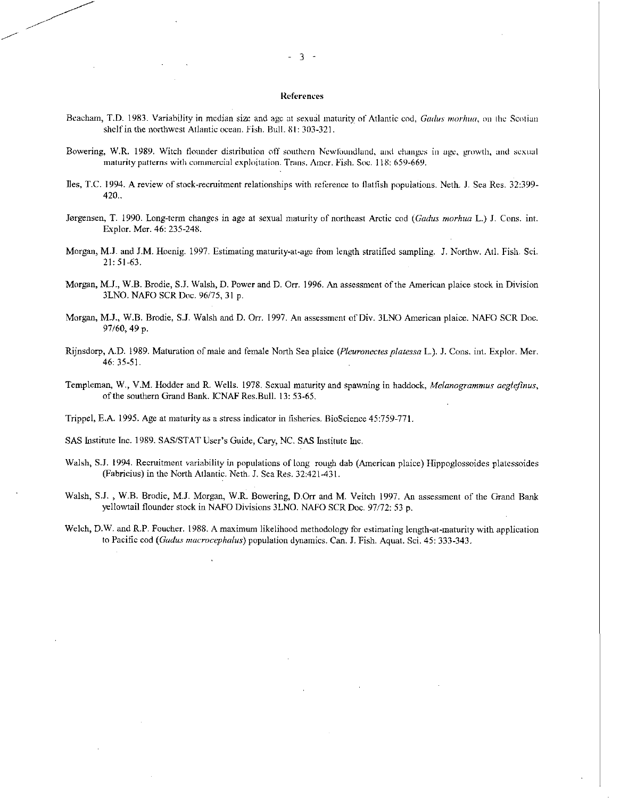### References

- Beacham, T.D. 1983. Variability in median size and age at sexual maturity of Atlantic cod, *Groins tnorhua,* on the Scotian shelf in the northwest Atlantic ocean. Fish. Bull. 81: 303-321.
- Bowering, W.R. 1989. Witch flounder distribution off southern Newlbundland, and changes in age, growth, and sexual maturity patterns with commercial exploitation. Trans. Amer. Fish. Soc. 118: 659-669.
- Iles, T.C. 1994. A review of stock-recruitment relationships with reference to flatfish populations. Neth. J. Sea Res. 32:399-420..
- Jorgensen, T. 1990. Long-term changes in age at sexual maturity of northeast Arctic cod *(Gallus rnorhua* L.) J. Cons. int. Explor. Mer. 46: 235-248.
- Morgan, M.J. and J.M. Hoenig. 1997. Estimating maturity-at-age from length stratified sampling. J. Northw. Atl. Fish. Sci. 21: 51-63.
- Morgan, M.J., W.B. Brodie, S.J. Walsh, D. Power and D. Orr. 1996. An assessment of the American plaice stock in Division 3LNO. NAFO SCR Doc. 96/75, 31 p.
- Morgan, M.J., W.B. Brodie, S.J. Walsh and D. Orr. 1997. An assessment of Div. 3LNO American plaice. NAFO SCR Doc. 97/60, 49 p.
- Rijnsdorp, A.D. 1989. Maturation of male and female North Sea plaice *(Pleuronectes platessa L.*). J. Cons. int. Explor. Mer. 46:35-51.
- Templeman, W., V.M. Hodder and R. Wells. 1978. Sexual maturity and spawning in haddock, *Melanogrammus aeglefinus,*  of the southern Grand Bank. ICNAF Res.Bull. 13: 53-65.

Trippel, E.A. 1995. Age at maturity as a stress indicator in fisheries. BioScience 45:759-771.

SAS Institute Inc. 1989. SAS/STAT User's Guide, Cary, NC. SAS Institute Inc.

- Walsh, S.J. 1994. Recruitment variability in populations of long rough dab (American plaice) Hippoglossoides platessoides (Fabricius) in the North Atlantic. Neth. *J.* Sea Res. 32:421-431.
- Walsh, S.J. , W.B. Brodie, M.J. Morgan, W.R. Bowering, D.Orr and M. Veitch 1997. An assessment of the Grand Bank yellowtail flounder stock in NAFO Divisions 3LNO. NAFO SCR Doc. 97/72: 53 p.
- Welch, D.W. and R.P. Faucher. 1988. A maximum likelihood methodology for estimating length-at-maturity with application to Pacific cod *(Gallus macrocephalus)* population dynamics. Can. J. Fish. Aquat. Sci. 45: 333-343.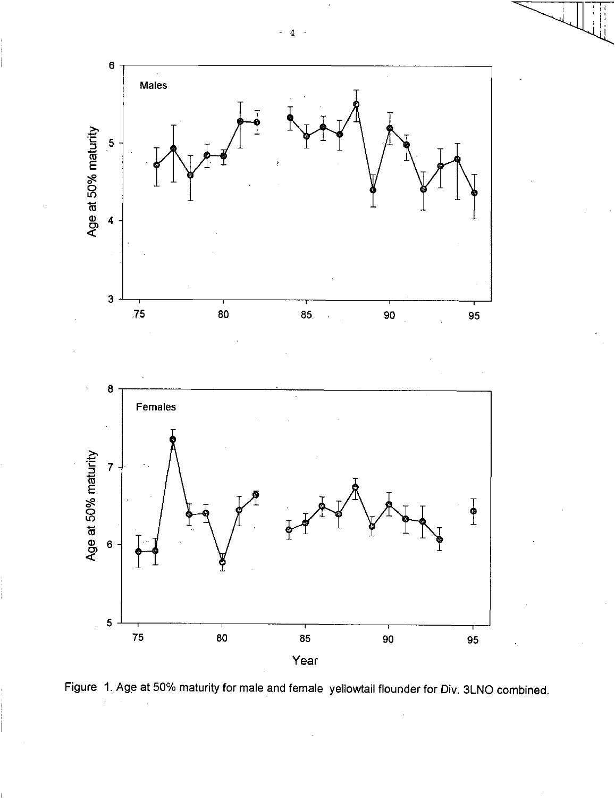



4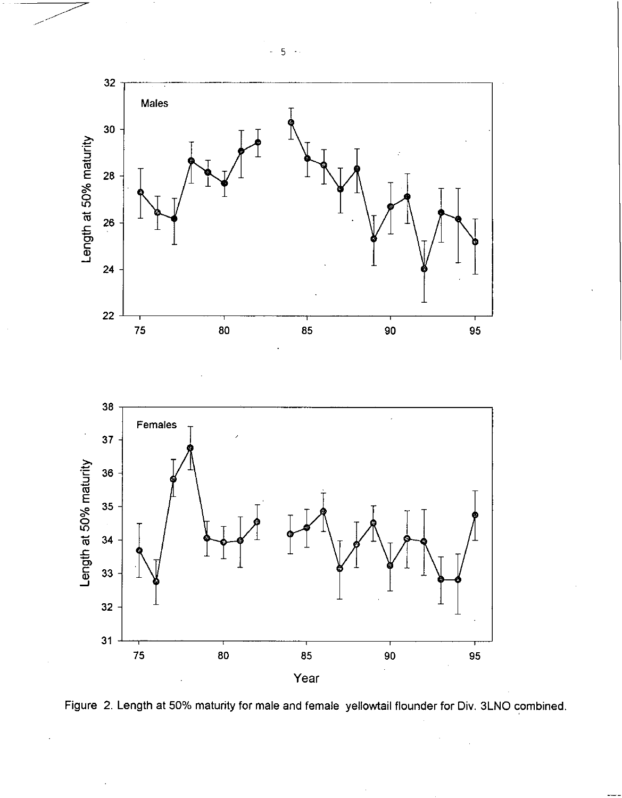

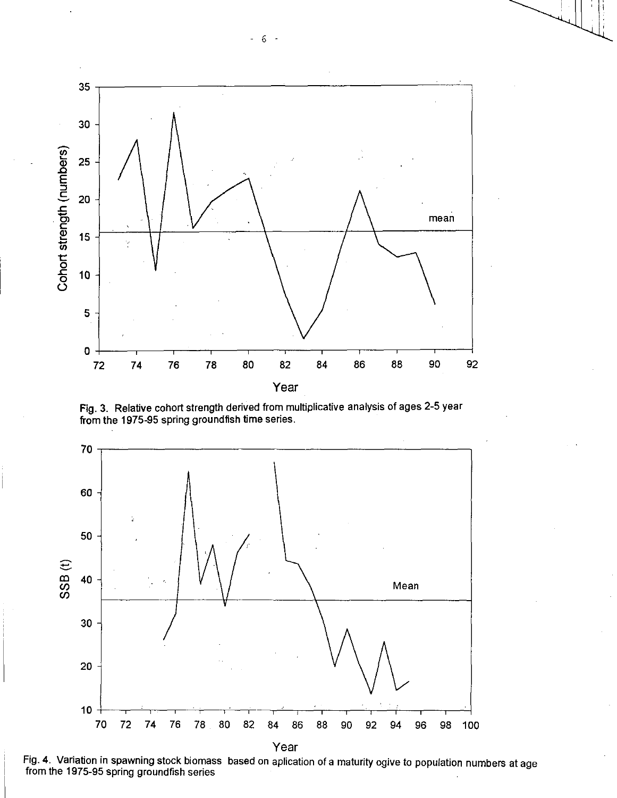

Fig. 3. Relative cohort strength derived from multiplicative analysis of ages 2-5 year from the 1975-95 spring groundfish time series.



Fig. 4. Variation in spawning stock biomass based on aplication of a maturity ogive to population numbers at age from the 1975-95 spring groundfish series

- 6